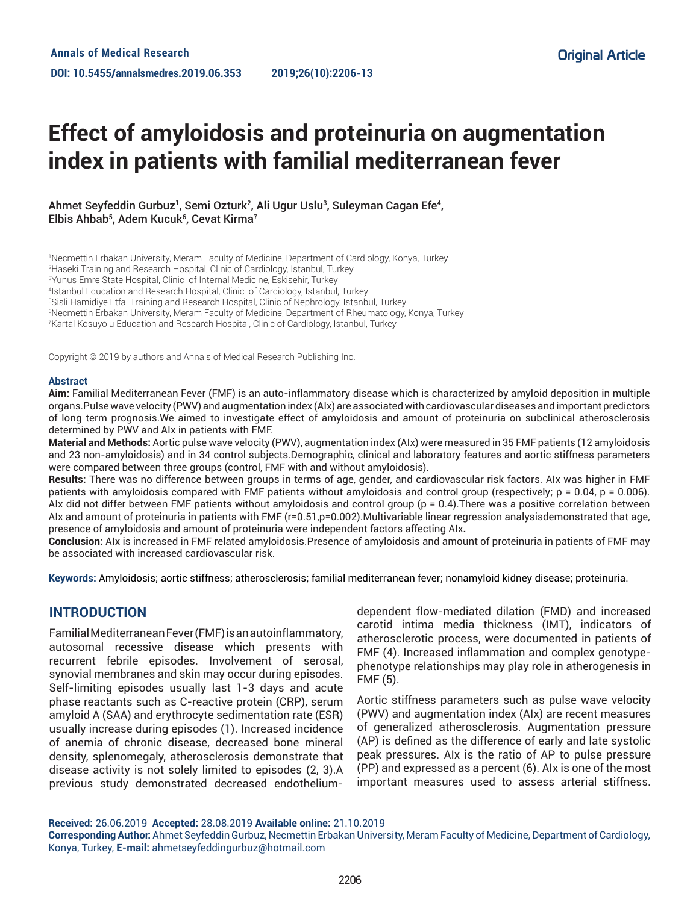# **Effect of amyloidosis and proteinuria on augmentation index in patients with familial mediterranean fever**

Ahmet Seyfeddin Gurbuz<sup>1</sup>, Semi Ozturk<sup>2</sup>, Ali Ugur Uslu<sup>3</sup>, Suleyman Cagan Efe<sup>4</sup>, Elbis Ahbab<sup>5</sup>, Adem Kucuk<sup>6</sup>, Cevat Kirma<sup>7</sup>

 Necmettin Erbakan University, Meram Faculty of Medicine, Department of Cardiology, Konya, Turkey Haseki Training and Research Hospital, Clinic of Cardiology, Istanbul, Turkey Yunus Emre State Hospital, Clinic of Internal Medicine, Eskisehir, Turkey Istanbul Education and Research Hospital, Clinic of Cardiology, Istanbul, Turkey Sisli Hamidiye Etfal Training and Research Hospital, Clinic of Nephrology, Istanbul, Turkey Necmettin Erbakan University, Meram Faculty of Medicine, Department of Rheumatology, Konya, Turkey Kartal Kosuyolu Education and Research Hospital, Clinic of Cardiology, Istanbul, Turkey

Copyright © 2019 by authors and Annals of Medical Research Publishing Inc.

#### **Abstract**

**Aim:** Familial Mediterranean Fever (FMF) is an auto-inflammatory disease which is characterized by amyloid deposition in multiple organs.Pulse wave velocity (PWV) and augmentation index (AIx) are associated with cardiovascular diseases and important predictors of long term prognosis.We aimed to investigate effect of amyloidosis and amount of proteinuria on subclinical atherosclerosis determined by PWV and AIx in patients with FMF.

**Material and Methods:** Aortic pulse wave velocity (PWV), augmentation index (AIx) were measured in 35 FMF patients (12 amyloidosis and 23 non-amyloidosis) and in 34 control subjects.Demographic, clinical and laboratory features and aortic stiffness parameters were compared between three groups (control, FMF with and without amyloidosis).

**Results:** There was no difference between groups in terms of age, gender, and cardiovascular risk factors. AIx was higher in FMF patients with amyloidosis compared with FMF patients without amyloidosis and control group (respectively; p = 0.04, p = 0.006). AIx did not differ between FMF patients without amyloidosis and control group (p = 0.4).There was a positive correlation between AIx and amount of proteinuria in patients with FMF (r=0.51,p=0.002).Multivariable linear regression analysisdemonstrated that age, presence of amyloidosis and amount of proteinuria were independent factors affecting AIx**.**

**Conclusion:** AIx is increased in FMF related amyloidosis.Presence of amyloidosis and amount of proteinuria in patients of FMF may be associated with increased cardiovascular risk.

**Keywords:** Amyloidosis; aortic stiffness; atherosclerosis; familial mediterranean fever; nonamyloid kidney disease; proteinuria.

## **INTRODUCTION**

Familial Mediterranean Fever (FMF) is an autoinflammatory, autosomal recessive disease which presents with recurrent febrile episodes. Involvement of serosal, synovial membranes and skin may occur during episodes. Self-limiting episodes usually last 1-3 days and acute phase reactants such as C-reactive protein (CRP), serum amyloid A (SAA) and erythrocyte sedimentation rate (ESR) usually increase during episodes (1). Increased incidence of anemia of chronic disease, decreased bone mineral density, splenomegaly, atherosclerosis demonstrate that disease activity is not solely limited to episodes (2, 3).A previous study demonstrated decreased endotheliumdependent flow-mediated dilation (FMD) and increased carotid intima media thickness (IMT), indicators of atherosclerotic process, were documented in patients of FMF (4). Increased inflammation and complex genotypephenotype relationships may play role in atherogenesis in FMF (5).

Aortic stiffness parameters such as pulse wave velocity (PWV) and augmentation index (AIx) are recent measures of generalized atherosclerosis. Augmentation pressure (AP) is defined as the difference of early and late systolic peak pressures. AIx is the ratio of AP to pulse pressure (PP) and expressed as a percent (6). AIx is one of the most important measures used to assess arterial stiffness.

**Received:** 26.06.2019 **Accepted:** 28.08.2019 **Available online:** 21.10.2019

**Corresponding Author:** Ahmet Seyfeddin Gurbuz, Necmettin Erbakan University, Meram Faculty of Medicine, Department of Cardiology, Konya, Turkey, **E-mail:** ahmetseyfeddingurbuz@hotmail.com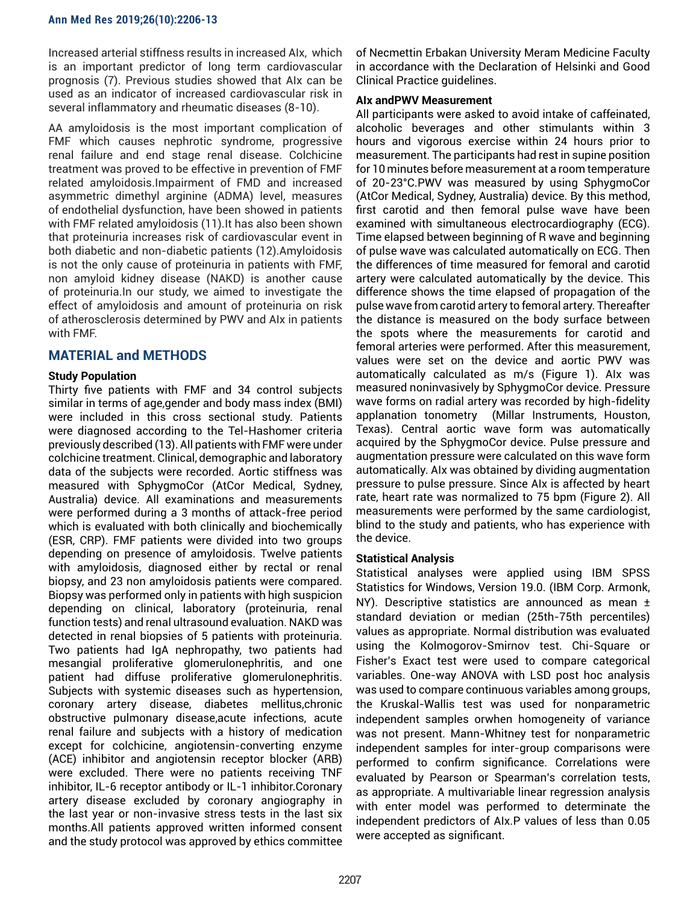Increased arterial stiffness results in increased AIx, which is an important predictor of long term cardiovascular prognosis (7). Previous studies showed that AIx can be used as an indicator of increased cardiovascular risk in several inflammatory and rheumatic diseases (8-10).

AA amyloidosis is the most important complication of FMF which causes nephrotic syndrome, progressive renal failure and end stage renal disease. Colchicine treatment was proved to be effective in prevention of FMF related amyloidosis.Impairment of FMD and increased asymmetric dimethyl arginine (ADMA) level, measures of endothelial dysfunction, have been showed in patients with FMF related amyloidosis (11).It has also been shown that proteinuria increases risk of cardiovascular event in both diabetic and non-diabetic patients (12).Amyloidosis is not the only cause of proteinuria in patients with FMF, non amyloid kidney disease (NAKD) is another cause of proteinuria.In our study, we aimed to investigate the effect of amyloidosis and amount of proteinuria on risk of atherosclerosis determined by PWV and AIx in patients with FMF.

# **MATERIAL and METHODS**

## **Study Population**

Thirty five patients with FMF and 34 control subjects similar in terms of age,gender and body mass index (BMI) were included in this cross sectional study. Patients were diagnosed according to the Tel-Hashomer criteria previously described (13). All patients with FMF were under colchicine treatment. Clinical, demographic and laboratory data of the subjects were recorded. Aortic stiffness was measured with SphygmoCor (AtCor Medical, Sydney, Australia) device. All examinations and measurements were performed during a 3 months of attack-free period which is evaluated with both clinically and biochemically (ESR, CRP). FMF patients were divided into two groups depending on presence of amyloidosis. Twelve patients with amyloidosis, diagnosed either by rectal or renal biopsy, and 23 non amyloidosis patients were compared. Biopsy was performed only in patients with high suspicion depending on clinical, laboratory (proteinuria, renal function tests) and renal ultrasound evaluation. NAKD was detected in renal biopsies of 5 patients with proteinuria. Two patients had IgA nephropathy, two patients had mesangial proliferative glomerulonephritis, and one patient had diffuse proliferative glomerulonephritis. Subjects with systemic diseases such as hypertension, coronary artery disease, diabetes mellitus,chronic obstructive pulmonary disease,acute infections, acute renal failure and subjects with a history of medication except for colchicine, angiotensin-converting enzyme (ACE) inhibitor and angiotensin receptor blocker (ARB) were excluded. There were no patients receiving TNF inhibitor, IL-6 receptor antibody or IL-1 inhibitor.Coronary artery disease excluded by coronary angiography in the last year or non-invasive stress tests in the last six months.All patients approved written informed consent and the study protocol was approved by ethics committee

of Necmettin Erbakan University Meram Medicine Faculty in accordance with the Declaration of Helsinki and Good Clinical Practice guidelines.

## **AIx andPWV Measurement**

All participants were asked to avoid intake of caffeinated, alcoholic beverages and other stimulants within 3 hours and vigorous exercise within 24 hours prior to measurement. The participants had rest in supine position for 10 minutes before measurement at a room temperature of 20-23°C.PWV was measured by using SphygmoCor (AtCor Medical, Sydney, Australia) device. By this method, first carotid and then femoral pulse wave have been examined with simultaneous electrocardiography (ECG). Time elapsed between beginning of R wave and beginning of pulse wave was calculated automatically on ECG. Then the differences of time measured for femoral and carotid artery were calculated automatically by the device. This difference shows the time elapsed of propagation of the pulse wave from carotid artery to femoral artery. Thereafter the distance is measured on the body surface between the spots where the measurements for carotid and femoral arteries were performed. After this measurement, values were set on the device and aortic PWV was automatically calculated as m/s (Figure 1). AIx was measured noninvasively by SphygmoCor device. Pressure wave forms on radial artery was recorded by high-fidelity applanation tonometry (Millar Instruments, Houston, Texas). Central aortic wave form was automatically acquired by the SphygmoCor device. Pulse pressure and augmentation pressure were calculated on this wave form automatically. AIx was obtained by dividing augmentation pressure to pulse pressure. Since AIx is affected by heart rate, heart rate was normalized to 75 bpm (Figure 2). All measurements were performed by the same cardiologist, blind to the study and patients, who has experience with the device.

## **Statistical Analysis**

Statistical analyses were applied using IBM SPSS Statistics for Windows, Version 19.0. (IBM Corp. Armonk, NY). Descriptive statistics are announced as mean ± standard deviation or median (25th-75th percentiles) values as appropriate. Normal distribution was evaluated using the Kolmogorov-Smirnov test. Chi-Square or Fisher's Exact test were used to compare categorical variables. One-way ANOVA with LSD post hoc analysis was used to compare continuous variables among groups, the Kruskal-Wallis test was used for nonparametric independent samples orwhen homogeneity of variance was not present. Mann-Whitney test for nonparametric independent samples for inter-group comparisons were performed to confirm significance. Correlations were evaluated by Pearson or Spearman's correlation tests, as appropriate. A multivariable linear regression analysis with enter model was performed to determinate the independent predictors of AIx.P values of less than 0.05 were accepted as significant.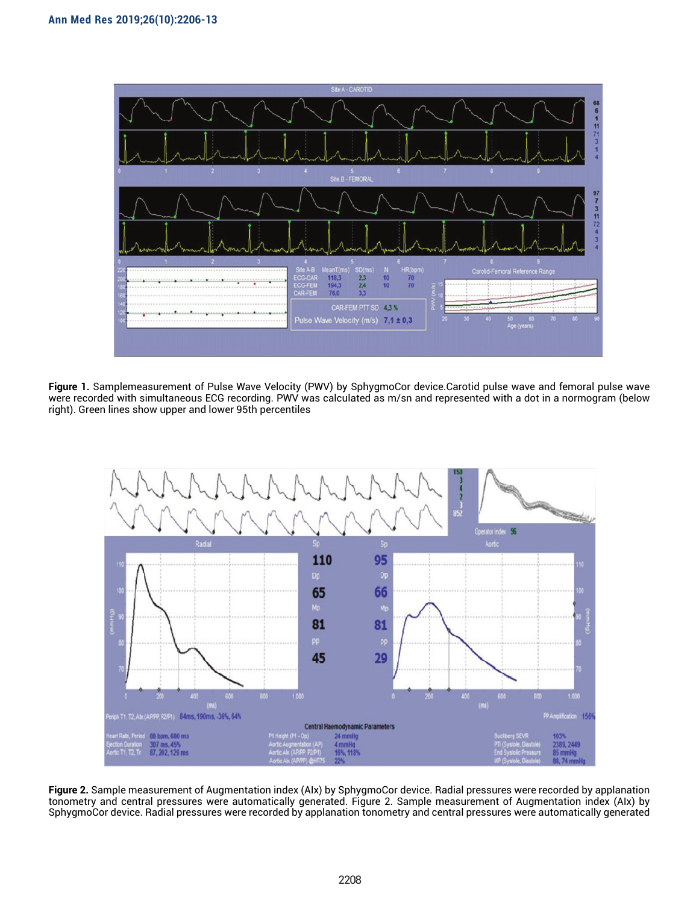

**Figure 1.** Samplemeasurement of Pulse Wave Velocity (PWV) by SphygmoCor device.Carotid pulse wave and femoral pulse wave were recorded with simultaneous ECG recording. PWV was calculated as m/sn and represented with a dot in a normogram (below right). Green lines show upper and lower 95th percentiles



**Figure 2.** Sample measurement of Augmentation index (AIx) by SphygmoCor device. Radial pressures were recorded by applanation tonometry and central pressures were automatically generated. Figure 2. Sample measurement of Augmentation index (AIx) by SphygmoCor device. Radial pressures were recorded by applanation tonometry and central pressures were automatically generated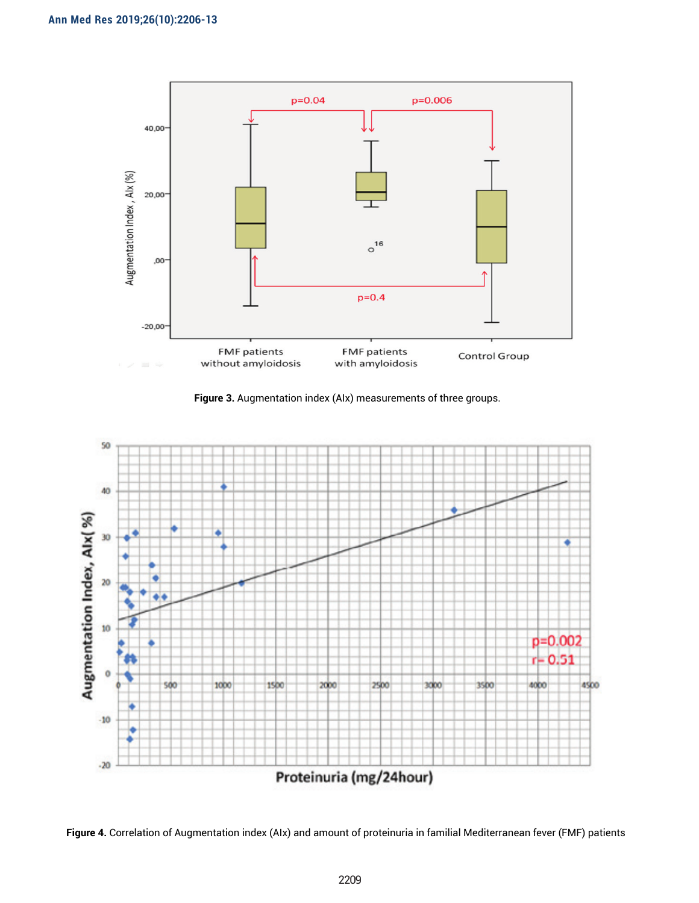

 **Figure 3.** Augmentation index (AIx) measurements of three groups.



 **Figure 4.** Correlation of Augmentation index (AIx) and amount of proteinuria in familial Mediterranean fever (FMF) patients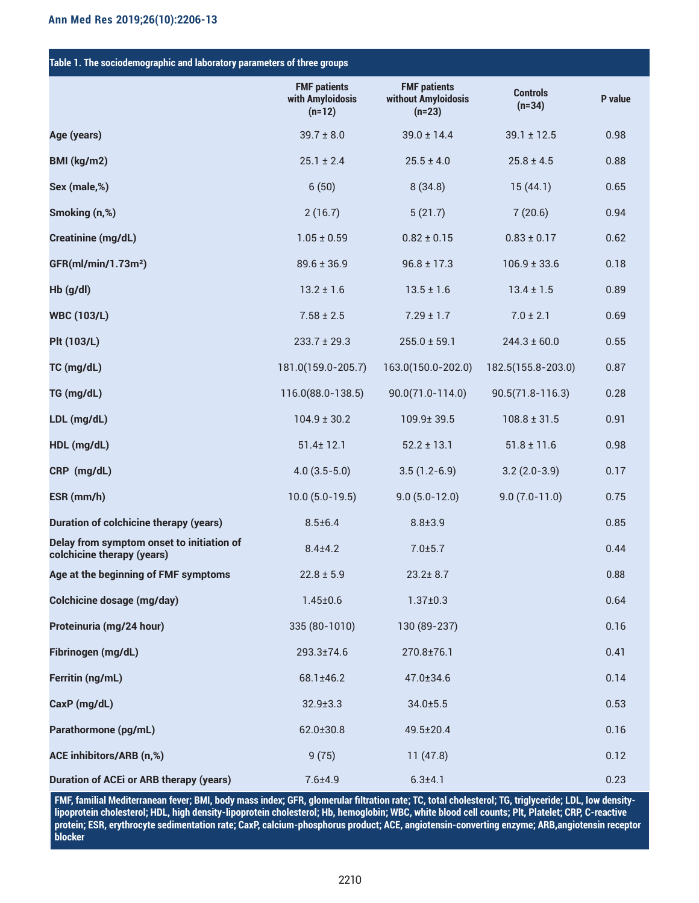| Table 1. The sociodemographic and laboratory parameters of three groups |                                                     |                                                        |                             |         |  |  |  |
|-------------------------------------------------------------------------|-----------------------------------------------------|--------------------------------------------------------|-----------------------------|---------|--|--|--|
|                                                                         | <b>FMF patients</b><br>with Amyloidosis<br>$(n=12)$ | <b>FMF patients</b><br>without Amyloidosis<br>$(n=23)$ | <b>Controls</b><br>$(n=34)$ | P value |  |  |  |
| Age (years)                                                             | $39.7 \pm 8.0$                                      | $39.0 \pm 14.4$                                        | $39.1 \pm 12.5$             | 0.98    |  |  |  |
| BMI (kg/m2)                                                             | $25.1 \pm 2.4$                                      | $25.5 \pm 4.0$                                         | $25.8 \pm 4.5$              | 0.88    |  |  |  |
| Sex (male,%)                                                            | 6(50)                                               | 8(34.8)                                                | 15(44.1)                    | 0.65    |  |  |  |
| Smoking (n,%)                                                           | 2(16.7)                                             | 5(21.7)                                                | 7(20.6)                     | 0.94    |  |  |  |
| <b>Creatinine (mg/dL)</b>                                               | $1.05 \pm 0.59$                                     | $0.82 \pm 0.15$                                        | $0.83 \pm 0.17$             | 0.62    |  |  |  |
| GFR(ml/min/1.73m <sup>2</sup> )                                         | $89.6 \pm 36.9$                                     | $96.8 \pm 17.3$                                        | $106.9 \pm 33.6$            | 0.18    |  |  |  |
| $Hb$ (g/dl)                                                             | $13.2 \pm 1.6$                                      | $13.5 \pm 1.6$                                         | $13.4 \pm 1.5$              | 0.89    |  |  |  |
| <b>WBC (103/L)</b>                                                      | $7.58 \pm 2.5$                                      | $7.29 \pm 1.7$                                         | $7.0 \pm 2.1$               | 0.69    |  |  |  |
| <b>Plt (103/L)</b>                                                      | $233.7 \pm 29.3$                                    | $255.0 \pm 59.1$                                       | $244.3 \pm 60.0$            | 0.55    |  |  |  |
| TC (mg/dL)                                                              | 181.0(159.0-205.7)                                  | 163.0(150.0-202.0)                                     | 182.5(155.8-203.0)          | 0.87    |  |  |  |
| TG (mg/dL)                                                              | 116.0(88.0-138.5)                                   | $90.0(71.0 - 114.0)$                                   | $90.5(71.8 - 116.3)$        | 0.28    |  |  |  |
| LDL (mg/dL)                                                             | $104.9 \pm 30.2$                                    | 109.9±39.5                                             | $108.8 \pm 31.5$            | 0.91    |  |  |  |
| HDL (mg/dL)                                                             | $51.4 \pm 12.1$                                     | $52.2 \pm 13.1$                                        | $51.8 \pm 11.6$             | 0.98    |  |  |  |
| CRP (mg/dL)                                                             | $4.0(3.5-5.0)$                                      | $3.5(1.2-6.9)$                                         | $3.2(2.0-3.9)$              | 0.17    |  |  |  |
| ESR (mm/h)                                                              | $10.0 (5.0 - 19.5)$                                 | $9.0(5.0-12.0)$                                        | $9.0(7.0-11.0)$             | 0.75    |  |  |  |
| <b>Duration of colchicine therapy (years)</b>                           | $8.5 \pm 6.4$                                       | $8.8 \pm 3.9$                                          |                             | 0.85    |  |  |  |
| Delay from symptom onset to initiation of<br>colchicine therapy (years) | $8.4 + 4.2$                                         | 7.0±5.7                                                |                             | 0.44    |  |  |  |
| Age at the beginning of FMF symptoms                                    | $22.8 \pm 5.9$                                      | $23.2 \pm 8.7$                                         |                             | 0.88    |  |  |  |
| <b>Colchicine dosage (mg/day)</b>                                       | $1.45 \pm 0.6$                                      | $1.37 \pm 0.3$                                         |                             | 0.64    |  |  |  |
| Proteinuria (mg/24 hour)                                                | 335 (80-1010)                                       | 130 (89-237)                                           |                             | 0.16    |  |  |  |
| Fibrinogen (mg/dL)                                                      | 293.3±74.6                                          | 270.8±76.1                                             |                             | 0.41    |  |  |  |
| Ferritin (ng/mL)                                                        | 68.1±46.2                                           | 47.0±34.6                                              |                             | 0.14    |  |  |  |
| CaxP (mg/dL)                                                            | $32.9 \pm 3.3$                                      | $34.0 \pm 5.5$                                         |                             | 0.53    |  |  |  |
| Parathormone (pg/mL)                                                    | 62.0±30.8                                           | 49.5±20.4                                              |                             | 0.16    |  |  |  |
| ACE inhibitors/ARB (n,%)                                                | 9(75)                                               | 11(47.8)                                               |                             | 0.12    |  |  |  |
| <b>Duration of ACEi or ARB therapy (years)</b>                          | $7.6 + 4.9$                                         | $6.3 + 4.1$                                            |                             | 0.23    |  |  |  |

**FMF, familial Mediterranean fever; BMI, body mass index; GFR, glomerular filtration rate; TC, total cholesterol; TG, triglyceride; LDL, low densitylipoprotein cholesterol; HDL, high density-lipoprotein cholesterol; Hb, hemoglobin; WBC, white blood cell counts; Plt, Platelet; CRP, C-reactive protein; ESR, erythrocyte sedimentation rate; CaxP, calcium-phosphorus product; ACE, angiotensin-converting enzyme; ARB,angiotensin receptor blocker**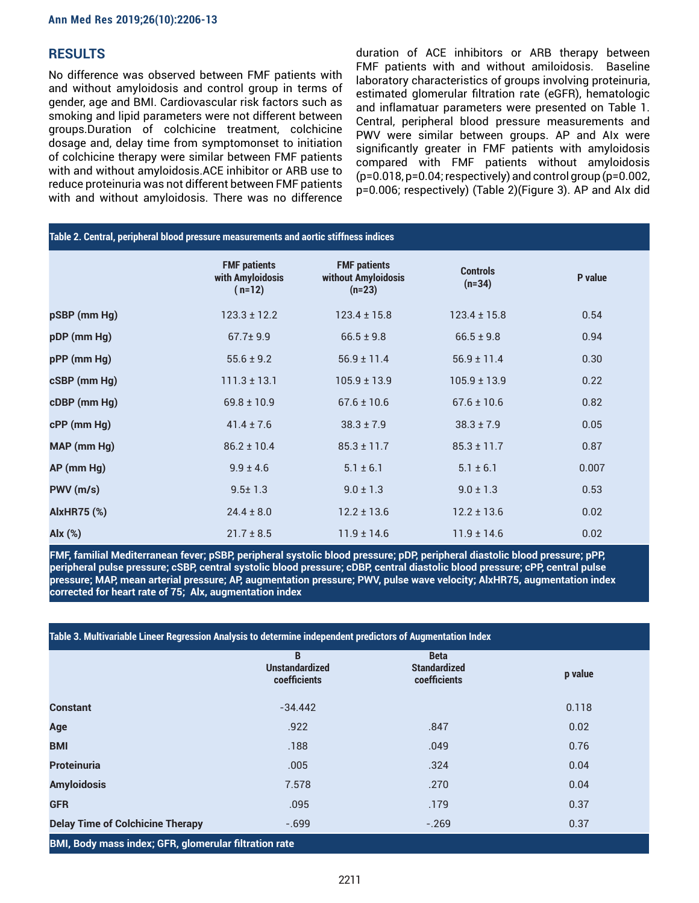# **RESULTS**

No difference was observed between FMF patients with and without amyloidosis and control group in terms of gender, age and BMI. Cardiovascular risk factors such as smoking and lipid parameters were not different between groups.Duration of colchicine treatment, colchicine dosage and, delay time from symptomonset to initiation of colchicine therapy were similar between FMF patients with and without amyloidosis.ACE inhibitor or ARB use to reduce proteinuria was not different between FMF patients with and without amyloidosis. There was no difference duration of ACE inhibitors or ARB therapy between FMF patients with and without amiloidosis. Baseline laboratory characteristics of groups involving proteinuria, estimated glomerular filtration rate (eGFR), hematologic and inflamatuar parameters were presented on Table 1. Central, peripheral blood pressure measurements and PWV were similar between groups. AP and AIx were significantly greater in FMF patients with amyloidosis compared with FMF patients without amyloidosis (p=0.018, p=0.04; respectively) and control group (p=0.002, p=0.006; respectively) (Table 2)(Figure 3). AP and AIx did

| Table 2. Central, peripheral blood pressure measurements and aortic stiffness indices |                                                     |                                                        |                             |         |  |  |  |
|---------------------------------------------------------------------------------------|-----------------------------------------------------|--------------------------------------------------------|-----------------------------|---------|--|--|--|
|                                                                                       | <b>FMF patients</b><br>with Amyloidosis<br>$(n=12)$ | <b>FMF patients</b><br>without Amyloidosis<br>$(n=23)$ | <b>Controls</b><br>$(n=34)$ | P value |  |  |  |
| pSBP (mm Hg)                                                                          | $123.3 \pm 12.2$                                    | $123.4 \pm 15.8$                                       | $123.4 \pm 15.8$            | 0.54    |  |  |  |
| pDP (mm Hg)                                                                           | $67.7 \pm 9.9$                                      | $66.5 \pm 9.8$                                         | $66.5 \pm 9.8$              | 0.94    |  |  |  |
| pPP (mm Hg)                                                                           | $55.6 \pm 9.2$                                      | $56.9 \pm 11.4$                                        | $56.9 \pm 11.4$             | 0.30    |  |  |  |
| cSBP (mm Hg)                                                                          | $111.3 \pm 13.1$                                    | $105.9 \pm 13.9$                                       | $105.9 \pm 13.9$            | 0.22    |  |  |  |
| cDBP (mm Hg)                                                                          | $69.8 \pm 10.9$                                     | $67.6 \pm 10.6$                                        | $67.6 \pm 10.6$             | 0.82    |  |  |  |
| cPP (mm Hg)                                                                           | $41.4 \pm 7.6$                                      | $38.3 \pm 7.9$                                         | $38.3 \pm 7.9$              | 0.05    |  |  |  |
| MAP (mm Hg)                                                                           | $86.2 \pm 10.4$                                     | $85.3 \pm 11.7$                                        | $85.3 \pm 11.7$             | 0.87    |  |  |  |
| AP (mm Hg)                                                                            | $9.9 \pm 4.6$                                       | $5.1 \pm 6.1$                                          | $5.1 \pm 6.1$               | 0.007   |  |  |  |
| PWV(m/s)                                                                              | $9.5 \pm 1.3$                                       | $9.0 \pm 1.3$                                          | $9.0 \pm 1.3$               | 0.53    |  |  |  |
| <b>AlxHR75 (%)</b>                                                                    | $24.4 \pm 8.0$                                      | $12.2 \pm 13.6$                                        | $12.2 \pm 13.6$             | 0.02    |  |  |  |
| Alx (%)                                                                               | $21.7 \pm 8.5$                                      | $11.9 \pm 14.6$                                        | $11.9 \pm 14.6$             | 0.02    |  |  |  |

**FMF, familial Mediterranean fever; pSBP, peripheral systolic blood pressure; pDP, peripheral diastolic blood pressure; pPP, peripheral pulse pressure; cSBP, central systolic blood pressure; cDBP, central diastolic blood pressure; cPP, central pulse pressure; MAP, mean arterial pressure; AP, augmentation pressure; PWV, pulse wave velocity; AlxHR75, augmentation index corrected for heart rate of 75; Alx, augmentation index**

| Table 3. Multivariable Lineer Regression Analysis to determine independent predictors of Augmentation Index |                                            |                                                    |         |  |  |  |
|-------------------------------------------------------------------------------------------------------------|--------------------------------------------|----------------------------------------------------|---------|--|--|--|
|                                                                                                             | B<br><b>Unstandardized</b><br>coefficients | <b>Beta</b><br><b>Standardized</b><br>coefficients | p value |  |  |  |
| <b>Constant</b>                                                                                             | $-34.442$                                  |                                                    | 0.118   |  |  |  |
| Age                                                                                                         | .922                                       | .847                                               | 0.02    |  |  |  |
| <b>BMI</b>                                                                                                  | .188                                       | .049                                               | 0.76    |  |  |  |
| <b>Proteinuria</b>                                                                                          | .005                                       | .324                                               | 0.04    |  |  |  |
| <b>Amyloidosis</b>                                                                                          | 7.578                                      | .270                                               | 0.04    |  |  |  |
| <b>GFR</b>                                                                                                  | .095                                       | .179                                               | 0.37    |  |  |  |
| <b>Delay Time of Colchicine Therapy</b>                                                                     | $-699$                                     | $-.269$                                            | 0.37    |  |  |  |
| BMI, Body mass index; GFR, glomerular filtration rate                                                       |                                            |                                                    |         |  |  |  |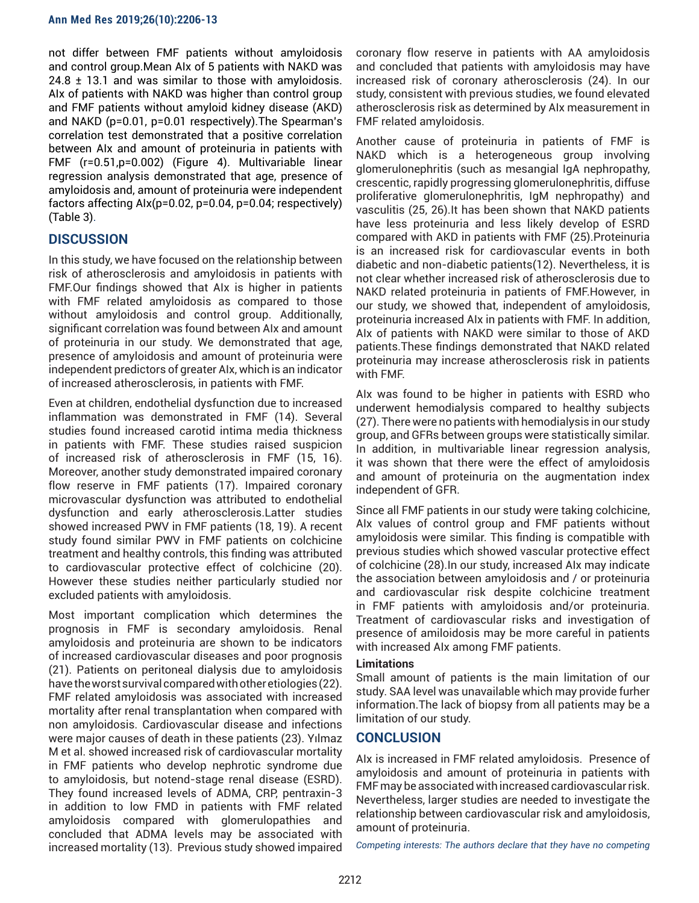not differ between FMF patients without amyloidosis and control group.Mean AIx of 5 patients with NAKD was  $24.8 \pm 13.1$  and was similar to those with amyloidosis. AIx of patients with NAKD was higher than control group and FMF patients without amyloid kidney disease (AKD) and NAKD (p=0.01, p=0.01 respectively).The Spearman's correlation test demonstrated that a positive correlation between AIx and amount of proteinuria in patients with FMF (r=0.51,p=0.002) (Figure 4). Multivariable linear regression analysis demonstrated that age, presence of amyloidosis and, amount of proteinuria were independent factors affecting AIx(p=0.02, p=0.04, p=0.04; respectively) (Table 3).

# **DISCUSSION**

In this study, we have focused on the relationship between risk of atherosclerosis and amyloidosis in patients with FMF.Our findings showed that AIx is higher in patients with FMF related amyloidosis as compared to those without amyloidosis and control group. Additionally, significant correlation was found between AIx and amount of proteinuria in our study. We demonstrated that age, presence of amyloidosis and amount of proteinuria were independent predictors of greater AIx, which is an indicator of increased atherosclerosis, in patients with FMF.

Even at children, endothelial dysfunction due to increased inflammation was demonstrated in FMF (14). Several studies found increased carotid intima media thickness in patients with FMF. These studies raised suspicion of increased risk of atherosclerosis in FMF (15, 16). Moreover, another study demonstrated impaired coronary flow reserve in FMF patients (17). Impaired coronary microvascular dysfunction was attributed to endothelial dysfunction and early atherosclerosis.Latter studies showed increased PWV in FMF patients (18, 19). A recent study found similar PWV in FMF patients on colchicine treatment and healthy controls, this finding was attributed to cardiovascular protective effect of colchicine (20). However these studies neither particularly studied nor excluded patients with amyloidosis.

Most important complication which determines the prognosis in FMF is secondary amyloidosis. Renal amyloidosis and proteinuria are shown to be indicators of increased cardiovascular diseases and poor prognosis (21). Patients on peritoneal dialysis due to amyloidosis have the worst survival compared with other etiologies (22). FMF related amyloidosis was associated with increased mortality after renal transplantation when compared with non amyloidosis. Cardiovascular disease and infections were major causes of death in these patients (23). Yılmaz M et al. showed increased risk of cardiovascular mortality in FMF patients who develop nephrotic syndrome due to amyloidosis, but notend-stage renal disease (ESRD). They found increased levels of ADMA, CRP, pentraxin-3 in addition to low FMD in patients with FMF related amyloidosis compared with glomerulopathies and concluded that ADMA levels may be associated with increased mortality (13). Previous study showed impaired

coronary flow reserve in patients with AA amyloidosis and concluded that patients with amyloidosis may have increased risk of coronary atherosclerosis (24). In our study, consistent with previous studies, we found elevated atherosclerosis risk as determined by AIx measurement in FMF related amyloidosis.

Another cause of proteinuria in patients of FMF is NAKD which is a heterogeneous group involving glomerulonephritis (such as mesangial IgA nephropathy, crescentic, rapidly progressing glomerulonephritis, diffuse proliferative glomerulonephritis, IgM nephropathy) and vasculitis (25, 26).It has been shown that NAKD patients have less proteinuria and less likely develop of ESRD compared with AKD in patients with FMF (25).Proteinuria is an increased risk for cardiovascular events in both diabetic and non-diabetic patients(12). Nevertheless, it is not clear whether increased risk of atherosclerosis due to NAKD related proteinuria in patients of FMF.However, in our study, we showed that, independent of amyloidosis, proteinuria increased AIx in patients with FMF. In addition, AIx of patients with NAKD were similar to those of AKD patients.These findings demonstrated that NAKD related proteinuria may increase atherosclerosis risk in patients with FMF.

AIx was found to be higher in patients with ESRD who underwent hemodialysis compared to healthy subjects (27). There were no patients with hemodialysis in our study group, and GFRs between groups were statistically similar. In addition, in multivariable linear regression analysis, it was shown that there were the effect of amyloidosis and amount of proteinuria on the augmentation index independent of GFR.

Since all FMF patients in our study were taking colchicine, AIx values of control group and FMF patients without amyloidosis were similar. This finding is compatible with previous studies which showed vascular protective effect of colchicine (28).In our study, increased AIx may indicate the association between amyloidosis and / or proteinuria and cardiovascular risk despite colchicine treatment in FMF patients with amyloidosis and/or proteinuria. Treatment of cardiovascular risks and investigation of presence of amiloidosis may be more careful in patients with increased AIx among FMF patients.

#### **Limitations**

Small amount of patients is the main limitation of our study. SAA level was unavailable which may provide furher information.The lack of biopsy from all patients may be a limitation of our study.

#### **CONCLUSION**

AIx is increased in FMF related amyloidosis. Presence of amyloidosis and amount of proteinuria in patients with FMF may be associated with increased cardiovascular risk. Nevertheless, larger studies are needed to investigate the relationship between cardiovascular risk and amyloidosis, amount of proteinuria.

*Competing interests: The authors declare that they have no competing*